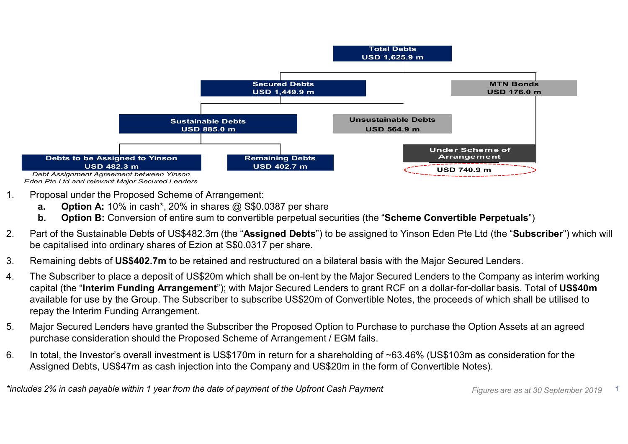

Eden Pte Ltd and relevant Major Secured Lenders

- -
	-
- 
- 
- capital (the "Interim Funding Arrangement"); with Major Secured Lenders to grant RCF on a dollar-for-dollar basis. Total of US\$40m repay the Interim Funding Arrangement. Continue is the Investor Material investment is US\$170m in return for a shareholding of ~63.46% (US\$103m as consideration for the Investor's overall investment is US\$10.0387 per share<br> **B.** Option **B**: Conversion of entire
- purchase consideration should the Proposed Scheme of Arrangement / EGM fails.
- Assigned Debts, US\$47m as cash injection into the Company and US\$20m in the form of Convertible Notes).

\*includes 2% in cash payable within 1 year from the date of payment of the Upfront Cash Payment Figures are as at 30 September 2019